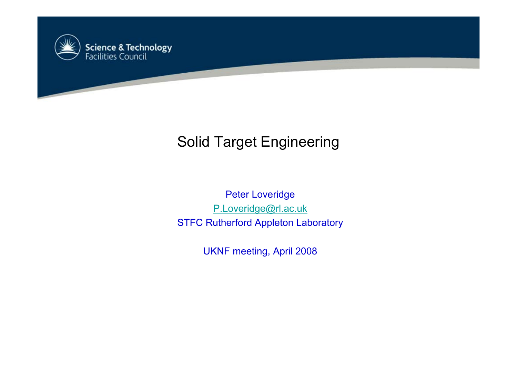

# Solid Target Engineering

Peter Loveridge [P.Loveridge@rl.ac.uk](mailto:P.Loveridge@rl.ac.uk) STFC Rutherfor d Appleton Laboratory

UKNF meeting, April 2008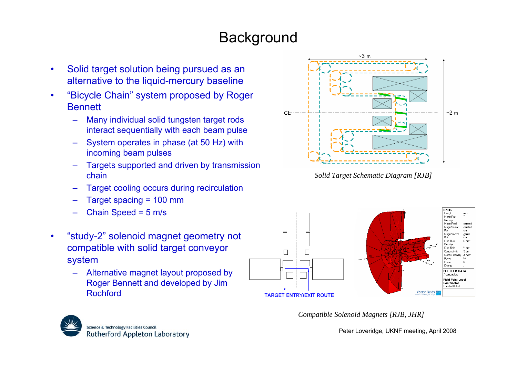# **Background**

- • Solid target solution being pursued as an alternative to the liquid-mercury baseline
- •"Bicycle Chain" system proposed by Roger **Bennett** 
	- – Many individual solid tungsten target rods interact sequentially with each beam pulse
	- – System operates in phase (at 50 Hz) with incoming beam pulses
	- – Targets supported and driven by transmission chain
	- –Target cooling occurs during recirculation
	- –Target spacing = 100 mm
	- –Chain Speed = 5 m/s
- •"study-2" solenoid magnet geometry not compatible with solid target conveyor system
	- – Alternative magnet layout proposed by Roger Bennett and developed by Jim Rochford



*Solid Target Schematic Diagram [RJB]*



*Compatible Solenoid Magnets [RJB, JHR]*



Peter Loveridge, UKNF meeting, April 2008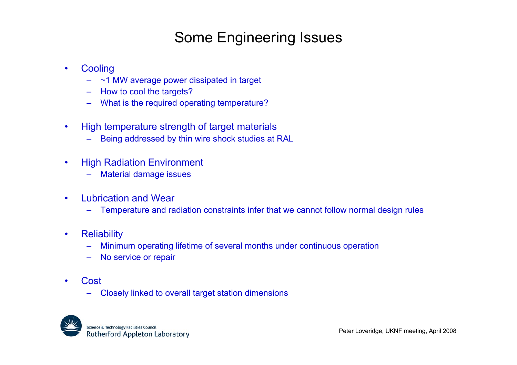### Some Engineering Issues

- •**Cooling** 
	- ~1 MW average power dissipated in target
	- How to cool the targets?
	- –What is the required operating temperature?
- •• High temperature strength of target materials
	- –Being addressed by thin wire shock studies at R AL
- • High Radiation Environment
	- Material damage issues
- • Lubrication and Wear
	- –Temperature and radiation constraints infer that we cannot follow normal design rules
- •**Reliability** 
	- Minimum operating lifetime of several months under continuous operation
	- –No service or repair
- • Cost
	- –Closely linked to overall target station dimensions

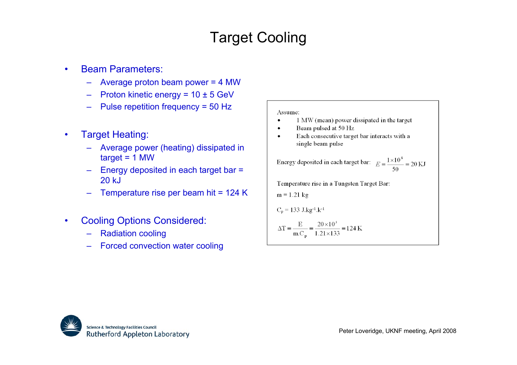# Target Cooling

- • Beam Parameters:
	- –Average proton beam power = 4 MW
	- –Proton kinetic energy = 10 ± 5 GeV
	- Pulse repetition frequency = 50 Hz
- • Target Heating:
	- – Average power (heating) dissipated in  $target = 1$  MW
	- Energy deposited in each target bar = 20 kJ
	- Temperature rise per beam hit = 124 K
- • Cooling Options Considered:
	- –Radiation cooling
	- –Forced convection water cooling

#### Assume:

- 1 MW (mean) power dissipated in the target
- Beam pulsed at 50 Hz  $\bullet$
- Each consecutive target bar interacts with a  $\bullet$ single beam pulse

Energy deposited in each target bar:  $E = \frac{1 \times 10^6}{50} = 20 \text{ KJ}$ 

Temperature rise in a Tungsten Target Bar:

m = 1.21 kg  
\nC<sub>p</sub> = 133 J.kg<sup>-1</sup>.k<sup>-1</sup>  
\n
$$
\Delta T = \frac{E}{m.C_p} = \frac{20 \times 10^3}{1.21 \times 133} = 124 \text{ K}
$$

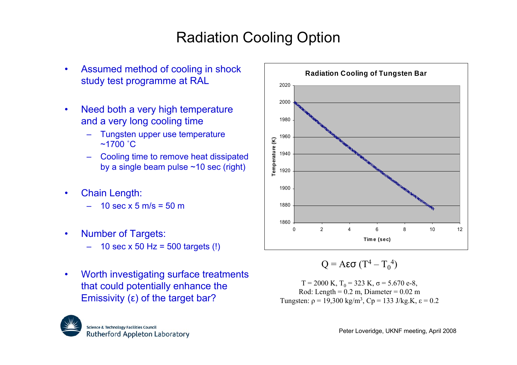# Radiation Cooling Option

- • Assumed method of cooling in shock study test programme at RAL
- •• Need both a very high temperature and a very long cooling time
	- –Tungsten upper use temperature  $~1700~^{\circ}$ C
	- –Cooling time to remove heat dissipated by a single beam pulse ~10 sec (right)
- • Chain Length:
	- –10 sec x 5 m/s = 50 m
- • Number of Targets:
	- 10 sec x 50 Hz = 500 targets (!)
- • Worth investigating surface treatments that could potentially enhance the Emissivity ( <sup>ε</sup>) of the target bar?



$$
Q = A\epsilon\sigma (T^4 - T_0^4)
$$

T = 2000 K, T0 = 323 K, σ = 5.670 e-8, Rod: Length = 0.2 m, Di ameter = 0.02 mTungsten: <sup>ρ</sup> = 19,300 kg/m3, Cp = 133 J/kg.K, <sup>ε</sup> = 0.2

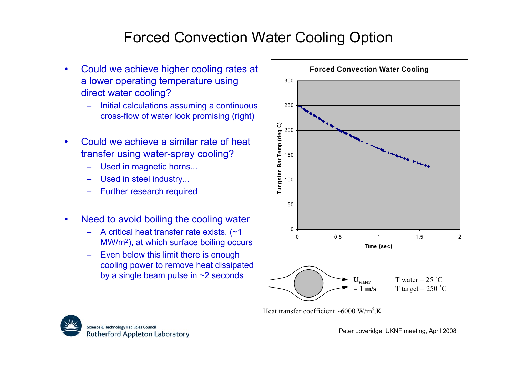## Forced Convection Water Cooling Option

- • Could we achieve higher cooling rates at a lower operating temperature using direct water cooling?
	- Initial calculations assuming a continuous cross-flow of water look promising (right)
- • Could we achieve a similar rate of heat transfer using water-spr ay cooling?
	- –Used in magnetic horns...
	- –Used in steel industry...
	- Further research required
- • Need to avoid boiling the cooling water
	- –A critical heat transfer rate exists, (~1 MW/m2), at which surface boiling occurs
	- –Even below this limit there is enough cooling power to remove heat dissipated by a single beam pulse in ~2 seconds



Heat transfer coefficient ~6000 W/m<sup>2</sup>.K

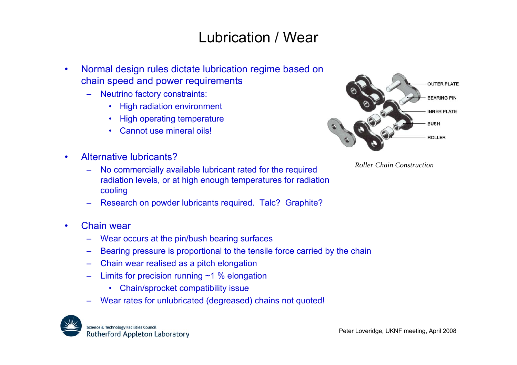### Lubrication / Wear

- • Normal design rules dictate lubrication regime based on chain speed and power requirements
	- Neutrino factory constraints:
		- •High radiation environment
		- •High operating temperature
		- •Cannot use mineral oils!
- • Alternative lubricants?
	- – No commercially available lubricant rated for the required radiation levels, or at high enough temperatures for radiation cooling
	- –Research on powder lubricants required. Talc? Graphite?
- • Chain wear
	- Wear occurs at the pin/bush bearing surfaces
	- –Bearing pressure is proportional to the tensile force carried by the chain
	- –Chain wear realised as a pitch elongation
	- –Limits for precision running  $~1$  % elongation
		- Chain/sprocket compatibility issue
	- Wear rates for unlubricated (degreased) chains not quoted!





*Roller Chain Construction*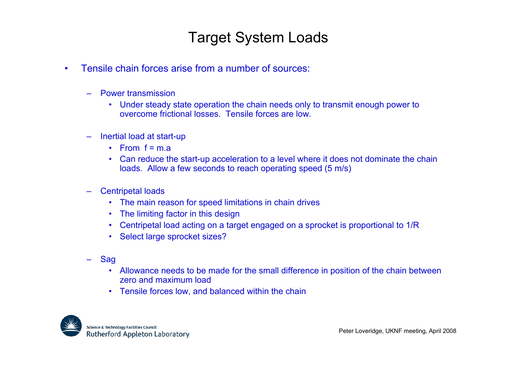### Target System Loads

- • Tensile chain for ces arise from a number of sources:
	- –Power transmission
		- Under steady state operation the chain needs only to transmit enough power to overcome frictional losses. Tensile forces are low.
	- – Inertial load at start-up
		- From f = m.a
		- • Can reduce the start-up acceleration to a level where it does not dominate the chain loads. Allow a few seconds to reach operating speed (5 m/s)
	- –Centripetal loads
		- The main reason for speed limitations in chain drives
		- •The limiting factor in this design
		- •Centripetal load acting on a target engaged on a sprocket is proportional to 1/R
		- $\bullet$ Select large sprocket sizes?
	- – Sag
		- Allowance needs to be made for the small difference in position of the chain between zero and maximum load
		- •Tensile forces low, and balanced within the chain

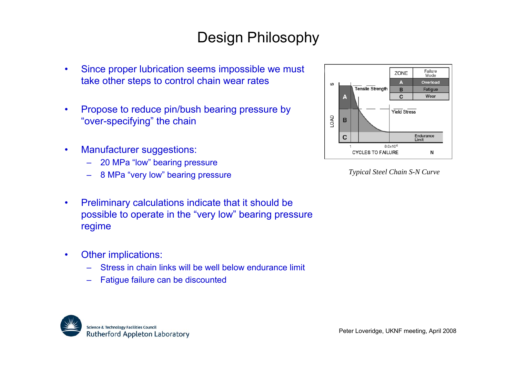## Design Philosophy

- • Since proper lubrication seems impossible we must take other steps to control chain wear rates
- • Propose to reduce pin/bush bearing pressure by "over-specifying" the chain
- • Manufacturer suggestions:
	- –20 MPa "low" bearing pressure
	- 8 MPa "very low" bearing pressure
- • Preliminary calculations indicate that it should be possible to operate in the "very low" bearing pressure regime
- • Other implications:
	- –Stress in chain links will be well below endurance limit
	- –Fatigue failure can be discounted





*Typical Steel Chain S-N Curve*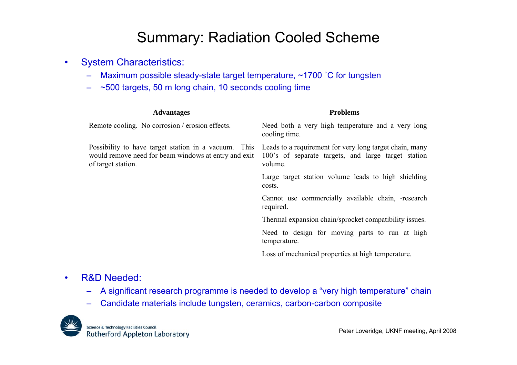### Summary: Radiation Cooled Scheme

- •• System Characteristics:
	- –Maximum possible steady-state target temperature, ~1700 °C for tungsten
	- –~500 targets, 50 m long chain, 10 seconds cooling time

| <b>Advantages</b>                                                                                                                  | <b>Problems</b>                                                                                                           |
|------------------------------------------------------------------------------------------------------------------------------------|---------------------------------------------------------------------------------------------------------------------------|
| Remote cooling. No corrosion / erosion effects.                                                                                    | Need both a very high temperature and a very long<br>cooling time.                                                        |
| Possibility to have target station in a vacuum. This<br>would remove need for beam windows at entry and exit<br>of target station. | Leads to a requirement for very long target chain, many<br>100's of separate targets, and large target station<br>volume. |
|                                                                                                                                    | Large target station volume leads to high shielding<br>costs.                                                             |
|                                                                                                                                    | Cannot use commercially available chain, -research<br>required.                                                           |
|                                                                                                                                    | Thermal expansion chain/sprocket compatibility issues.                                                                    |
|                                                                                                                                    | Need to design for moving parts to run at high<br>temperature.                                                            |
|                                                                                                                                    | Loss of mechanical properties at high temperature.                                                                        |

#### •R&D Needed:

- –A significant research programme is needed to develop a "very high temperature" chain
- –Candidate materials include tungsten, ceramics, carbon-carbon composite